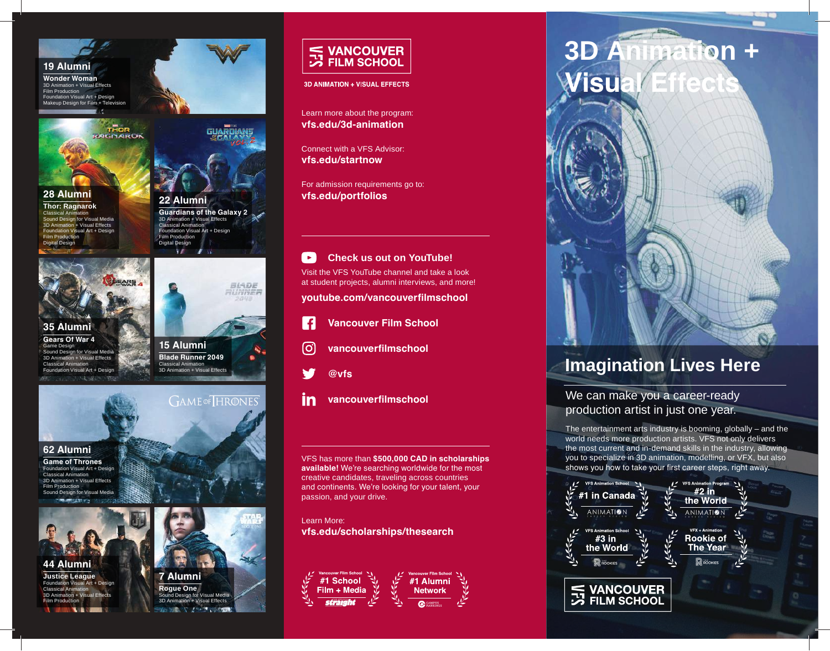

### **19 Alumni**

**Wonder Woman** 3D Animation + Visual Effects Film Production Foundation Visual Art + Design Makeup Design for Film + Television УŇ



## **28 Alumni**

**Thor: Ragnarok** Classical Animation Sound Design for Visual Media 3D Animation + Visual Effects Foundation Visual Art + Design Film Production Digital Design





#### **35 Alumni Gears Of War 4** Game Design Sound Design for Visual Media 3D Animation + Visual Effects Classical Animation Foundation Visual Art + Design  $-1.32$

**15 Alumni Blade Runner 2049** Classical Animation 3D Animation + Visual Effects

**GAME** OF HRONES

BIADE RUNNER



#### **62 Alumni**

**Game of Thrones** Foundation Visual Art + Design Classical Animation 3D Animation + Visual Effects Film Production Sound Design for Visual Media



**44 Alumni Justice League** Foundation Visual Art + Design Classical Animation 3D Animation + Visual Effects Film Production



**Rogue One** nd Design for Visual Media **Visual Effects** 



**3D ANIMATION + VISUAL EFFECTS** 

Learn more about the program: **vfs.edu/3d-animation**

Connect with a VFS Advisor: **vfs.edu/startnow**

For admission requirements go to: **vfs.edu/portfolios**

#### $\blacktriangleright$ **Check us out on YouTube!**

Visit the VFS YouTube channel and take a look at student projects, alumni interviews, and more!

**youtube.com/vancouverfilmschool**



- **Vancouver Film School**
- [ဝ] **vancouverfilmschool**



- 
- in **vancouverfilmschool**

VFS has more than **\$500,000 CAD in scholarships available!** We're searching worldwide for the most creative candidates, traveling across countries and continents. We're looking for your talent, your passion, and your drive.

Learn More: **vfs.edu/scholarships/thesearch**



# **3D Animation + Visual Eff**



# **Imagination Lives Here**

We can make you a career-ready production artist in just one year.

The entertainment arts industry is booming, globally – and the world needs more production artists. VFS not only delivers the most current and in-demand skills in the industry, allowing you to specialize in 3D animation, modelling, or VFX, but also shows you how to take your first career steps, right away.